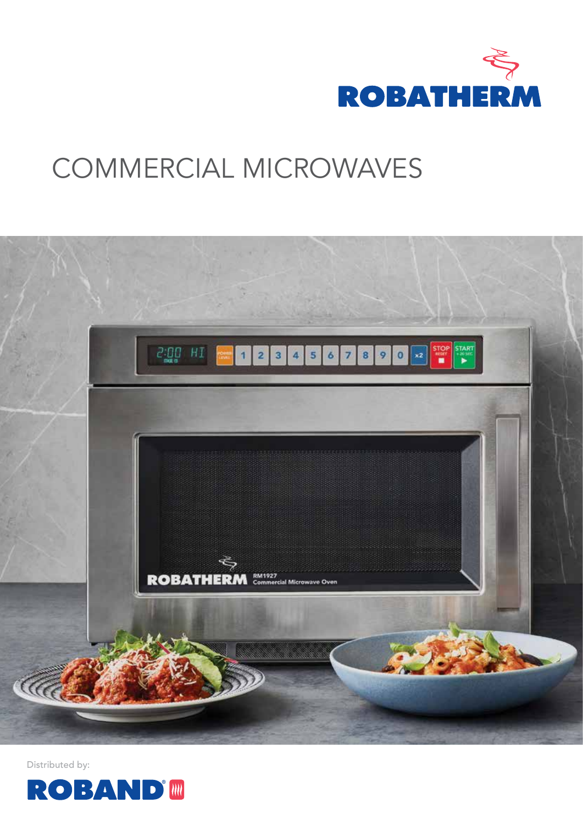

# COMMERCIAL MICROWAVES



Distributed by:

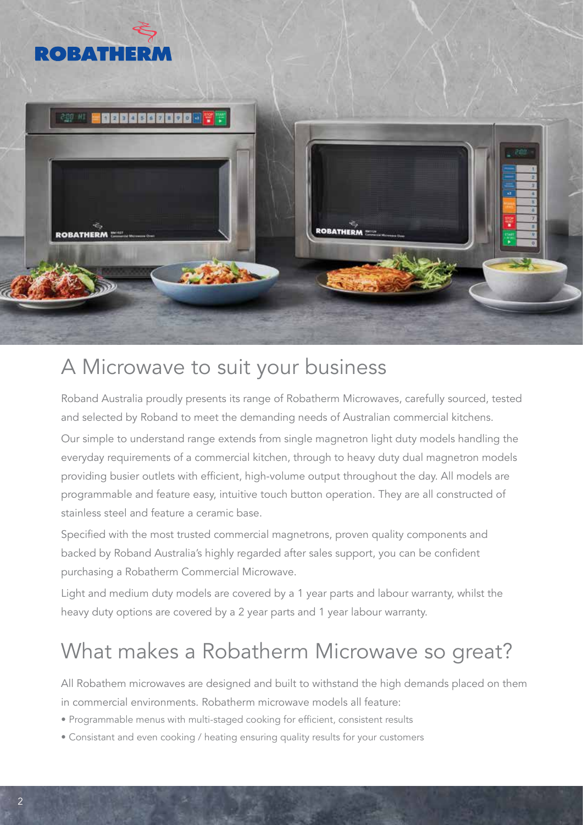

### A Microwave to suit your business

Roband Australia proudly presents its range of Robatherm Microwaves, carefully sourced, tested and selected by Roband to meet the demanding needs of Australian commercial kitchens.

Our simple to understand range extends from single magnetron light duty models handling the everyday requirements of a commercial kitchen, through to heavy duty dual magnetron models providing busier outlets with efficient, high-volume output throughout the day. All models are programmable and feature easy, intuitive touch button operation. They are all constructed of stainless steel and feature a ceramic base.

Specified with the most trusted commercial magnetrons, proven quality components and backed by Roband Australia's highly regarded after sales support, you can be confident purchasing a Robatherm Commercial Microwave.

Light and medium duty models are covered by a 1 year parts and labour warranty, whilst the heavy duty options are covered by a 2 year parts and 1 year labour warranty.

## What makes a Robatherm Microwave so great?

All Robathem microwaves are designed and built to withstand the high demands placed on them in commercial environments. Robatherm microwave models all feature:

- Programmable menus with multi-staged cooking for efficient, consistent results
- Consistant and even cooking / heating ensuring quality results for your customers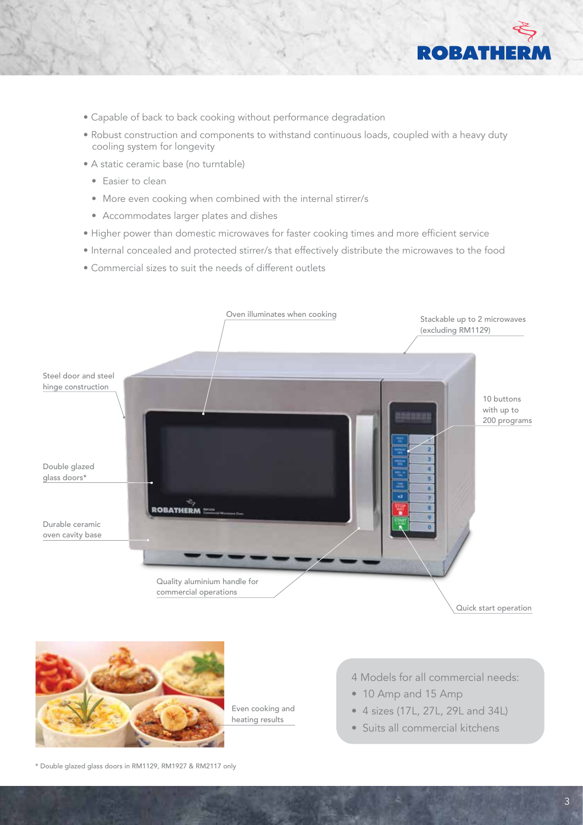

- Capable of back to back cooking without performance degradation
- Robust construction and components to withstand continuous loads, coupled with a heavy duty cooling system for longevity
- A static ceramic base (no turntable)
	- Easier to clean
	- More even cooking when combined with the internal stirrer/s
	- Accommodates larger plates and dishes
- Higher power than domestic microwaves for faster cooking times and more efficient service
- Internal concealed and protected stirrer/s that effectively distribute the microwaves to the food
- Commercial sizes to suit the needs of different outlets





Even cooking and heating results

- 4 Models for all commercial needs:
- 10 Amp and 15 Amp
- $171.27$   $201$ • 4 sizes (17L, 27L, 29L and 34L) • 4 sizes (17L, 27L, 29L and 34L)
- Suits all commercial kitchens Suits all commercial kitchens

\* Double glazed glass doors in RM1129, RM1927 & RM2117 only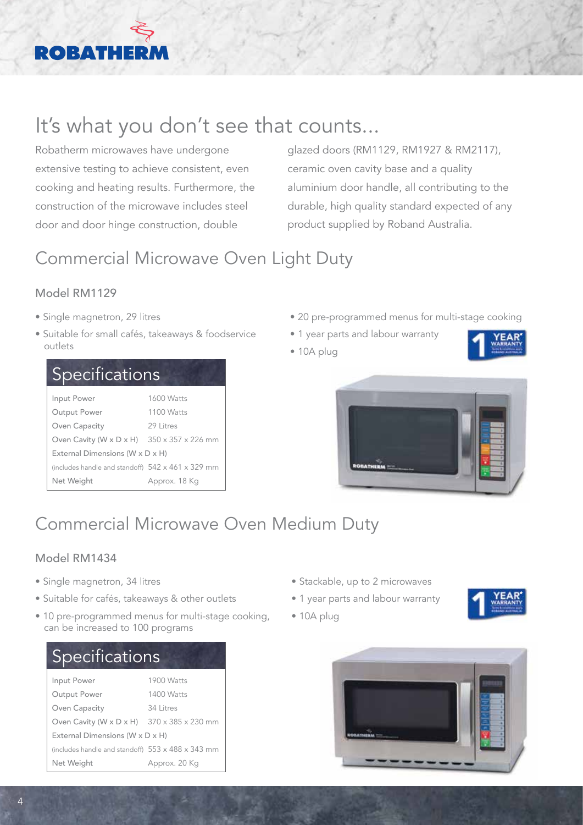## **ROBATH**

## It's what you don't see that counts...

Robatherm microwaves have undergone extensive testing to achieve consistent, even cooking and heating results. Furthermore, the construction of the microwave includes steel door and door hinge construction, double

glazed doors (RM1129, RM1927 & RM2117), ceramic oven cavity base and a quality aluminium door handle, all contributing to the durable, high quality standard expected of any product supplied by Roband Australia.

## Commercial Microwave Oven Light Duty

### Model RM1129

- Single magnetron, 29 litres
- Suitable for small cafés, takeaways & foodservice outlets

| <b>Specifications</b>                                  |            |  |
|--------------------------------------------------------|------------|--|
| Input Power                                            | 1600 Watts |  |
| Output Power                                           | 1100 Watts |  |
| Oven Capacity                                          | 29 Litres  |  |
| Oven Cavity (W x D x H) $350 \times 357 \times 226$ mm |            |  |
| External Dimensions (W x D x H)                        |            |  |
| (includes handle and standoff) 542 x 461 x 329 mm      |            |  |

Net Weight Approx. 18 Kg

- 20 pre-programmed menus for multi-stage cooking
- 1 year parts and labour warranty
- 10A plug



### Commercial Microwave Oven Medium Duty

#### Model RM1434

- Single magnetron, 34 litres
- Suitable for cafés, takeaways & other outlets
- 10 pre-programmed menus for multi-stage cooking, can be increased to 100 programs

### Specifications

| 1900 Watts                                             |  |  |  |
|--------------------------------------------------------|--|--|--|
| 1400 Watts                                             |  |  |  |
| 34 Litres                                              |  |  |  |
| Oven Cavity (W x D x H) $370 \times 385 \times 230$ mm |  |  |  |
| External Dimensions (W x D x H)                        |  |  |  |
| (includes handle and standoff) 553 x 488 x 343 mm      |  |  |  |
| Approx. 20 Kg                                          |  |  |  |
|                                                        |  |  |  |

- Stackable, up to 2 microwaves
- 1 year parts and labour warranty

• 10A plug



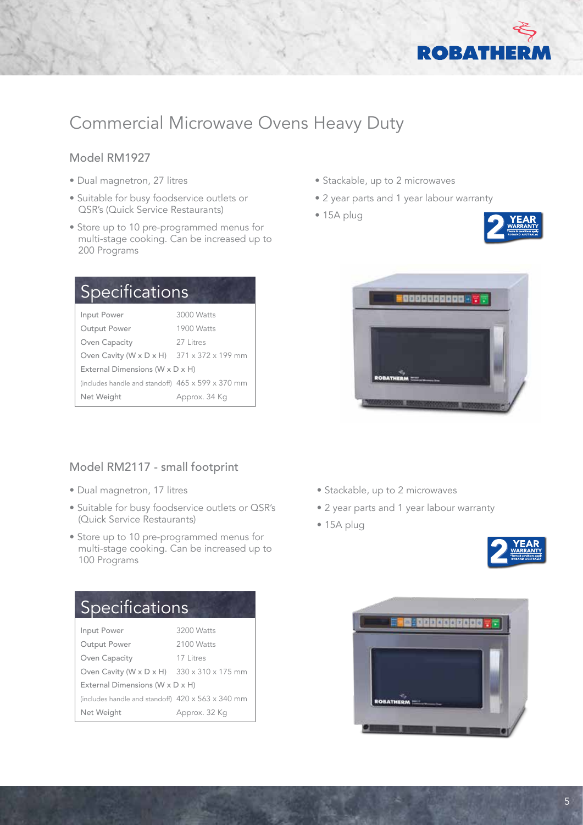

### Commercial Microwave Ovens Heavy Duty

#### Model RM1927

- Dual magnetron, 27 litres
- Suitable for busy foodservice outlets or QSR's (Quick Service Restaurants)
- Store up to 10 pre-programmed menus for multi-stage cooking. Can be increased up to 200 Programs

| Specifications                                                         |  |  |
|------------------------------------------------------------------------|--|--|
| 3000 Watts                                                             |  |  |
| 1900 Watts                                                             |  |  |
| 27 Litres                                                              |  |  |
| Oven Cavity (W $\times$ D $\times$ H) 371 $\times$ 372 $\times$ 199 mm |  |  |
| External Dimensions (W x D x H)                                        |  |  |
| (includes handle and standoff) 465 x 599 x 370 mm                      |  |  |
| Approx. 34 Kg                                                          |  |  |
|                                                                        |  |  |

#### Model RM2117 - small footprint

- Dual magnetron, 17 litres
- Suitable for busy foodservice outlets or QSR's (Quick Service Restaurants)
- Store up to 10 pre-programmed menus for multi-stage cooking. Can be increased up to 100 Programs

| <b>Specifications</b>                                  |               |  |  |  |
|--------------------------------------------------------|---------------|--|--|--|
| Input Power                                            | 3200 Watts    |  |  |  |
| Output Power                                           | 2100 Watts    |  |  |  |
| Oven Capacity                                          | 17 Litres     |  |  |  |
| Oven Cavity (W x D x H) $330 \times 310 \times 175$ mm |               |  |  |  |
| External Dimensions (W x D x H)                        |               |  |  |  |
| (includes handle and standoff) 420 x 563 x 340 mm      |               |  |  |  |
| Net Weight                                             | Approx. 32 Kg |  |  |  |

- Stackable, up to 2 microwaves
- 2 year parts and 1 year labour warranty
- 15A plug





- Stackable, up to 2 microwaves
- 2 year parts and 1 year labour warranty
- 15A plug



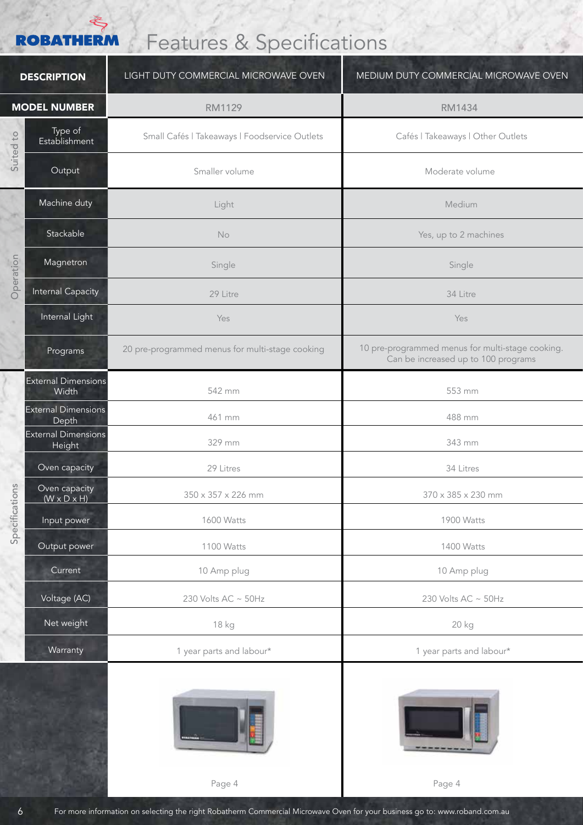### **ROBATHERM**

## Features & Specifications

| <b>DESCRIPTION</b>  |                                          | LIGHT DUTY COMMERCIAL MICROWAVE OVEN            | MEDIUM DUTY COMMERCIAL MICROWAVE OVEN                                                   |
|---------------------|------------------------------------------|-------------------------------------------------|-----------------------------------------------------------------------------------------|
| <b>MODEL NUMBER</b> |                                          | <b>RM1129</b>                                   | <b>RM1434</b>                                                                           |
| Suited to           | Type of<br>Establishment                 | Small Cafés   Takeaways   Foodservice Outlets   | Cafés   Takeaways   Other Outlets                                                       |
|                     | Output                                   | Smaller volume                                  | Moderate volume                                                                         |
| w<br>Operation      | Machine duty                             | Light                                           | Medium                                                                                  |
|                     | Stackable                                | <b>No</b>                                       | Yes, up to 2 machines                                                                   |
|                     | Magnetron                                | Single                                          | Single                                                                                  |
|                     | <b>Internal Capacity</b>                 | 29 Litre                                        | 34 Litre                                                                                |
|                     | Internal Light                           | Yes                                             | Yes                                                                                     |
|                     | Programs                                 | 20 pre-programmed menus for multi-stage cooking | 10 pre-programmed menus for multi-stage cooking.<br>Can be increased up to 100 programs |
| ons                 | <b>External Dimensions</b><br>Width      | 542 mm                                          | 553 mm                                                                                  |
|                     | <b>External Dimensions</b><br>Depth      | 461 mm                                          | 488 mm                                                                                  |
|                     | <b>External Dimensions</b><br>Height     | 329 mm                                          | 343 mm                                                                                  |
|                     | Oven capacity                            | 29 Litres                                       | 34 Litres                                                                               |
|                     | Oven capacity<br>$(W \times D \times H)$ | 350 x 357 x 226 mm                              | 370 x 385 x 230 mm                                                                      |
| Specificati         | Input power                              | 1600 Watts                                      | 1900 Watts                                                                              |
|                     | Output power                             | 1100 Watts                                      | 1400 Watts                                                                              |
|                     | Current                                  | 10 Amp plug                                     | 10 Amp plug                                                                             |
|                     | Voltage (AC)                             | 230 Volts AC ~ 50Hz                             | 230 Volts AC ~ 50Hz                                                                     |
|                     | Net weight                               | 18 kg                                           | 20 kg                                                                                   |
|                     | Warranty                                 | 1 year parts and labour*                        | 1 year parts and labour*                                                                |
|                     |                                          |                                                 |                                                                                         |





Page 4 Page 4

6 For more information on selecting the right Robatherm Commercial Microwave Oven for your business go to: www.roband.com.au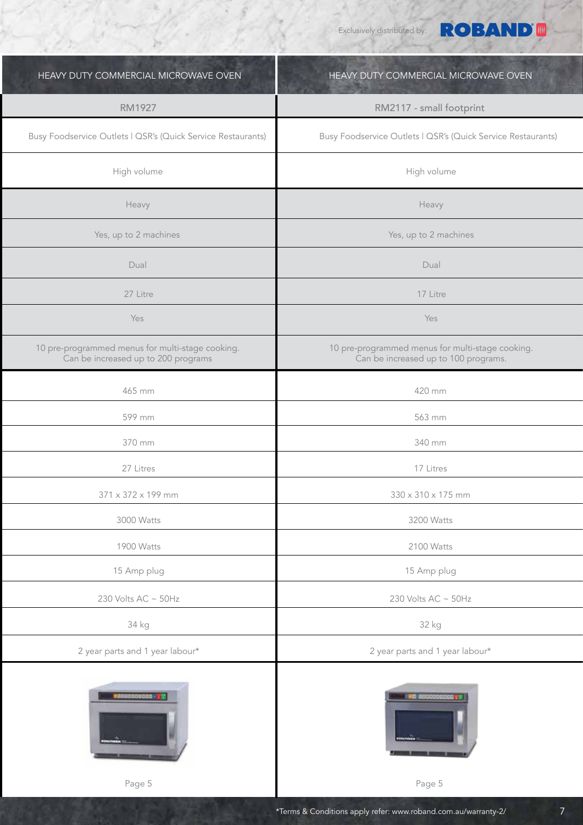Exclusively distributed by:

**ROBAND®** 

| HEAVY DUTY COMMERCIAL MICROWAVE OVEN                                                    | HEAVY DUTY COMMERCIAL MICROWAVE OVEN                                                     |
|-----------------------------------------------------------------------------------------|------------------------------------------------------------------------------------------|
| <b>RM1927</b>                                                                           | RM2117 - small footprint                                                                 |
| Busy Foodservice Outlets   QSR's (Quick Service Restaurants)                            | Busy Foodservice Outlets   QSR's (Quick Service Restaurants)                             |
| High volume                                                                             | High volume                                                                              |
| Heavy                                                                                   | Heavy                                                                                    |
| Yes, up to 2 machines                                                                   | Yes, up to 2 machines                                                                    |
| Dual                                                                                    | Dual                                                                                     |
| 27 Litre                                                                                | 17 Litre                                                                                 |
| Yes                                                                                     | Yes                                                                                      |
| 10 pre-programmed menus for multi-stage cooking.<br>Can be increased up to 200 programs | 10 pre-programmed menus for multi-stage cooking.<br>Can be increased up to 100 programs. |
| 465 mm                                                                                  | 420 mm                                                                                   |
| 599 mm                                                                                  | 563 mm                                                                                   |
| 370 mm                                                                                  | 340 mm                                                                                   |
| 27 Litres                                                                               | 17 Litres                                                                                |
| $371 \times 372 \times 199$ mm                                                          | 330 x 310 x 175 mm                                                                       |
| 3000 Watts                                                                              | 3200 Watts                                                                               |
| 1900 Watts                                                                              | 2100 Watts                                                                               |
| 15 Amp plug                                                                             | 15 Amp plug                                                                              |
| 230 Volts AC $\sim$ 50Hz                                                                | 230 Volts AC ~ 50Hz                                                                      |
| 34 kg                                                                                   | 32 kg                                                                                    |
| 2 year parts and 1 year labour*                                                         | 2 year parts and 1 year labour*                                                          |
|                                                                                         |                                                                                          |



Ī



Page 5 Page 5 Page 5 Page 5 Page 5 Page 5 Page 5 Page 5 Page 5 Page 5 Page 5 Page 5

7